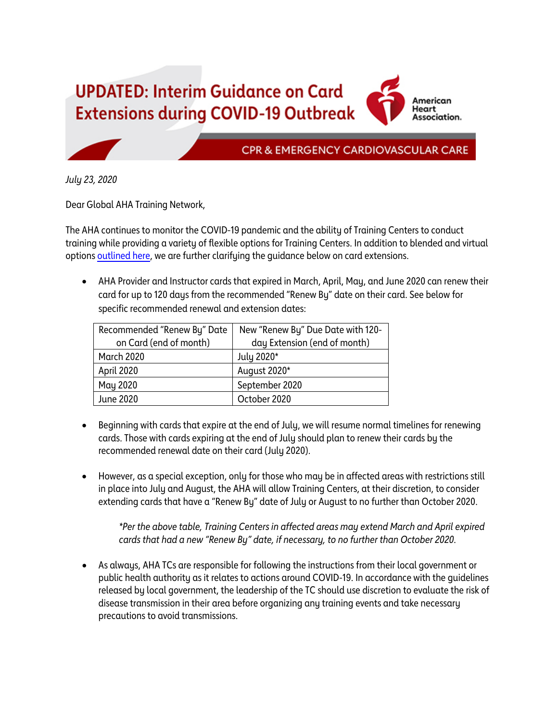**UPDATED: Interim Guidance on Card Extensions during COVID-19 Outbreak** 

American Heart Association.

**CPR & EMERGENCY CARDIOVASCULAR CARE** 

*July 23, 2020*

Dear Global AHA Training Network,

The AHA continues to monitor the COVID-19 pandemic and the ability of Training Centers to conduct training while providing a variety of flexible options for Training Centers. In addition to blended and virtual option[s outlined here,](https://cpr.heart.org/en/resources/coronavirus-covid19-resources-for-cpr-training/how-the-aha-is-taking-care-of-the-training-network-and-healthcare-providers) we are further clarifying the guidance below on card extensions.

• AHA Provider and Instructor cards that expired in March, April, May, and June 2020 can renew their card for up to 120 days from the recommended "Renew By" date on their card. See below for specific recommended renewal and extension dates:

| Recommended "Renew By" Date | New "Renew By" Due Date with 120- |
|-----------------------------|-----------------------------------|
| on Card (end of month)      | day Extension (end of month)      |
| <b>March 2020</b>           | July 2020*                        |
| April 2020                  | August 2020*                      |
| May 2020                    | September 2020                    |
| <b>June 2020</b>            | October 2020                      |

- Beginning with cards that expire at the end of July, we will resume normal timelines for renewing cards. Those with cards expiring at the end of July should plan to renew their cards by the recommended renewal date on their card (July 2020).
- However, as a special exception, only for those who may be in affected areas with restrictions still in place into July and August, the AHA will allow Training Centers, at their discretion, to consider extending cards that have a "Renew By" date of July or August to no further than October 2020.

*\*Per the above table, Training Centers in affected areas may extend March and April expired cards that had a new "Renew By" date, if necessary, to no further than October 2020.*

• As always, AHA TCs are responsible for following the instructions from their local government or public health authority as it relates to actions around COVID-19. In accordance with the guidelines released by local government, the leadership of the TC should use discretion to evaluate the risk of disease transmission in their area before organizing any training events and take necessary precautions to avoid transmissions.